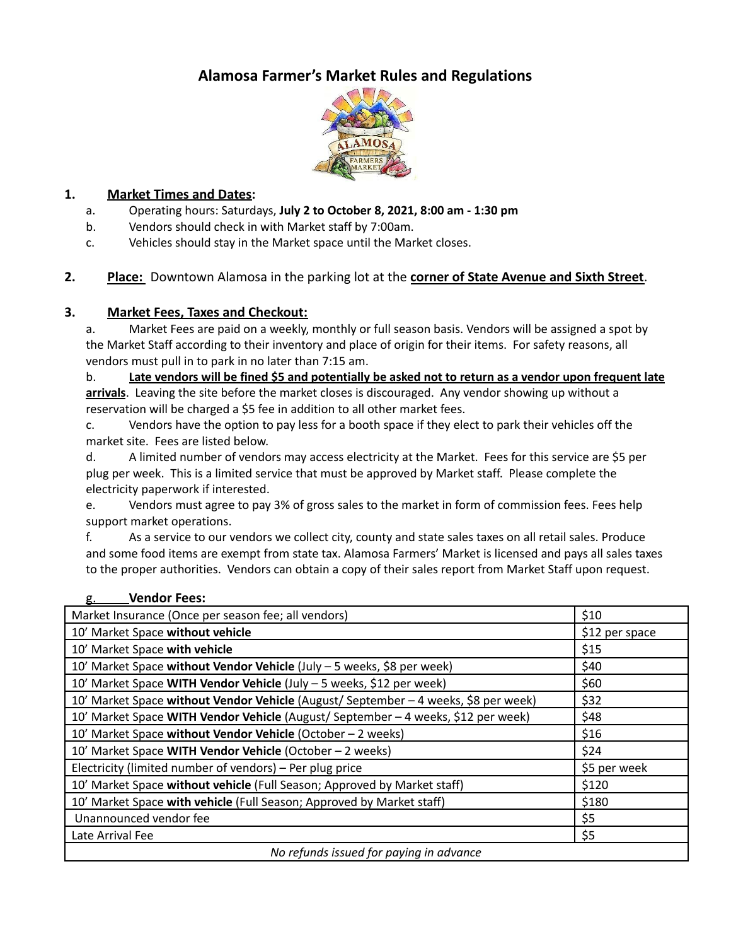# **Alamosa Farmer's Market Rules and Regulations**



#### **1. Market Times and Dates:**

- a. Operating hours: Saturdays, **July 2 to October 8, 2021, 8:00 am - 1:30 pm**
- b. Vendors should check in with Market staff by 7:00am.
- c. Vehicles should stay in the Market space until the Market closes.

#### **2. Place:** Downtown Alamosa in the parking lot at the **corner of State Avenue and Sixth Street**.

#### **3. Market Fees, Taxes and Checkout:**

a. Market Fees are paid on a weekly, monthly or full season basis. Vendors will be assigned a spot by the Market Staff according to their inventory and place of origin for their items. For safety reasons, all vendors must pull in to park in no later than 7:15 am.

b. Late vendors will be fined \$5 and potentially be asked not to return as a vendor upon frequent late **arrivals**. Leaving the site before the market closes is discouraged. Any vendor showing up without a reservation will be charged a \$5 fee in addition to all other market fees.

c. Vendors have the option to pay less for a booth space if they elect to park their vehicles off the market site. Fees are listed below.

d. A limited number of vendors may access electricity at the Market. Fees for this service are \$5 per plug per week. This is a limited service that must be approved by Market staff. Please complete the electricity paperwork if interested.

e. Vendors must agree to pay 3% of gross sales to the market in form of commission fees. Fees help support market operations.

f. As a service to our vendors we collect city, county and state sales taxes on all retail sales. Produce and some food items are exempt from state tax. Alamosa Farmers' Market is licensed and pays all sales taxes to the proper authorities. Vendors can obtain a copy of their sales report from Market Staff upon request.

| Market Insurance (Once per season fee; all vendors)                                 | \$10           |
|-------------------------------------------------------------------------------------|----------------|
| 10' Market Space without vehicle                                                    | \$12 per space |
| 10' Market Space with vehicle                                                       | \$15           |
| 10' Market Space without Vendor Vehicle (July - 5 weeks, \$8 per week)              | \$40           |
| 10' Market Space WITH Vendor Vehicle (July - 5 weeks, \$12 per week)                | \$60           |
| 10' Market Space without Vendor Vehicle (August/ September - 4 weeks, \$8 per week) | \$32           |
| 10' Market Space WITH Vendor Vehicle (August/ September - 4 weeks, \$12 per week)   | \$48           |
| 10' Market Space without Vendor Vehicle (October - 2 weeks)                         | \$16           |
| 10' Market Space WITH Vendor Vehicle (October - 2 weeks)                            | \$24           |
| Electricity (limited number of vendors) – Per plug price                            | \$5 per week   |
| 10' Market Space without vehicle (Full Season; Approved by Market staff)            | \$120          |
| 10' Market Space with vehicle (Full Season; Approved by Market staff)               | \$180          |
| Unannounced vendor fee                                                              | \$5            |
| Late Arrival Fee                                                                    | \$5            |
| No refunds issued for paying in advance                                             |                |

#### g. **Vendor Fees:**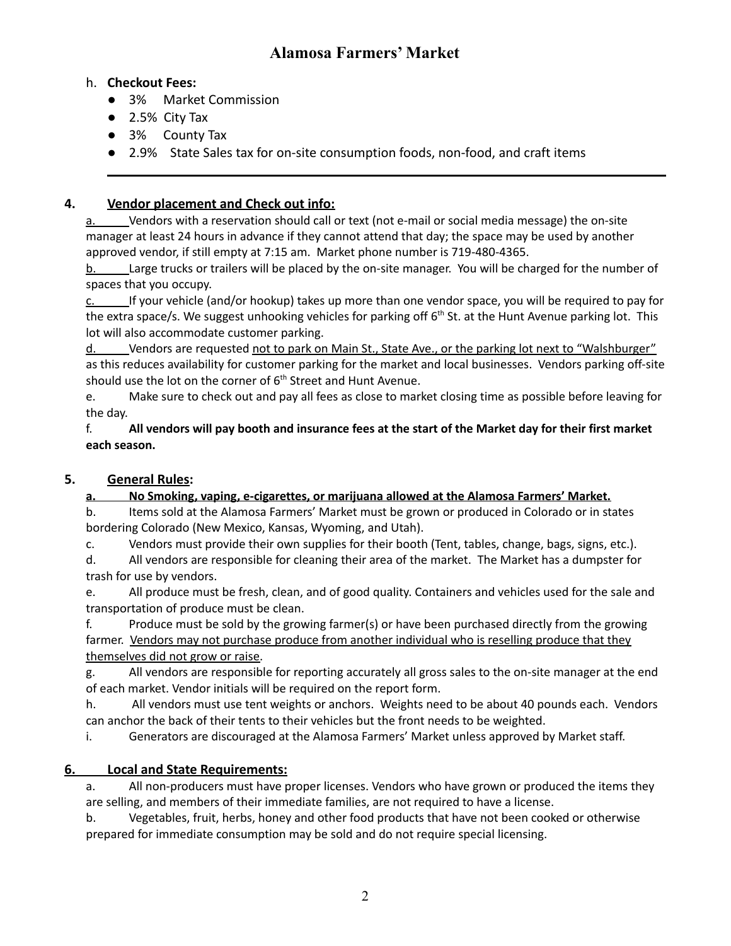# **Alamosa Farmers' Market**

#### h. **Checkout Fees:**

- 3% Market Commission
- 2.5% City Tax
- 3% County Tax
- 2.9% State Sales tax for on-site consumption foods, non-food, and craft items

### **4. Vendor placement and Check out info:**

a. Vendors with a reservation should call or text (not e-mail or social media message) the on-site manager at least 24 hours in advance if they cannot attend that day; the space may be used by another approved vendor, if still empty at 7:15 am. Market phone number is 719-480-4365.

b. Large trucks or trailers will be placed by the on-site manager. You will be charged for the number of spaces that you occupy.

 $c.$  If your vehicle (and/or hookup) takes up more than one vendor space, you will be required to pay for the extra space/s. We suggest unhooking vehicles for parking off 6<sup>th</sup> St. at the Hunt Avenue parking lot. This lot will also accommodate customer parking.

d. Vendors are requested not to park on Main St., State Ave., or the parking lot next to "Walshburger" as this reduces availability for customer parking for the market and local businesses. Vendors parking off-site should use the lot on the corner of 6<sup>th</sup> Street and Hunt Avenue.

e. Make sure to check out and pay all fees as close to market closing time as possible before leaving for the day.

f. All vendors will pay booth and insurance fees at the start of the Market day for their first market **each season.**

### **5. General Rules:**

### **a. No Smoking, vaping, e-cigarettes, or marijuana allowed at the Alamosa Farmers' Market.**

b. Items sold at the Alamosa Farmers' Market must be grown or produced in Colorado or in states bordering Colorado (New Mexico, Kansas, Wyoming, and Utah).

c. Vendors must provide their own supplies for their booth (Tent, tables, change, bags, signs, etc.).

d. All vendors are responsible for cleaning their area of the market. The Market has a dumpster for trash for use by vendors.

e. All produce must be fresh, clean, and of good quality. Containers and vehicles used for the sale and transportation of produce must be clean.

f. Produce must be sold by the growing farmer(s) or have been purchased directly from the growing farmer. Vendors may not purchase produce from another individual who is reselling produce that they themselves did not grow or raise.

g. All vendors are responsible for reporting accurately all gross sales to the on-site manager at the end of each market. Vendor initials will be required on the report form.

h. All vendors must use tent weights or anchors. Weights need to be about 40 pounds each. Vendors can anchor the back of their tents to their vehicles but the front needs to be weighted.

i. Generators are discouraged at the Alamosa Farmers' Market unless approved by Market staff.

# **6. Local and State Requirements:**

a. All non-producers must have proper licenses. Vendors who have grown or produced the items they are selling, and members of their immediate families, are not required to have a license.

b. Vegetables, fruit, herbs, honey and other food products that have not been cooked or otherwise prepared for immediate consumption may be sold and do not require special licensing.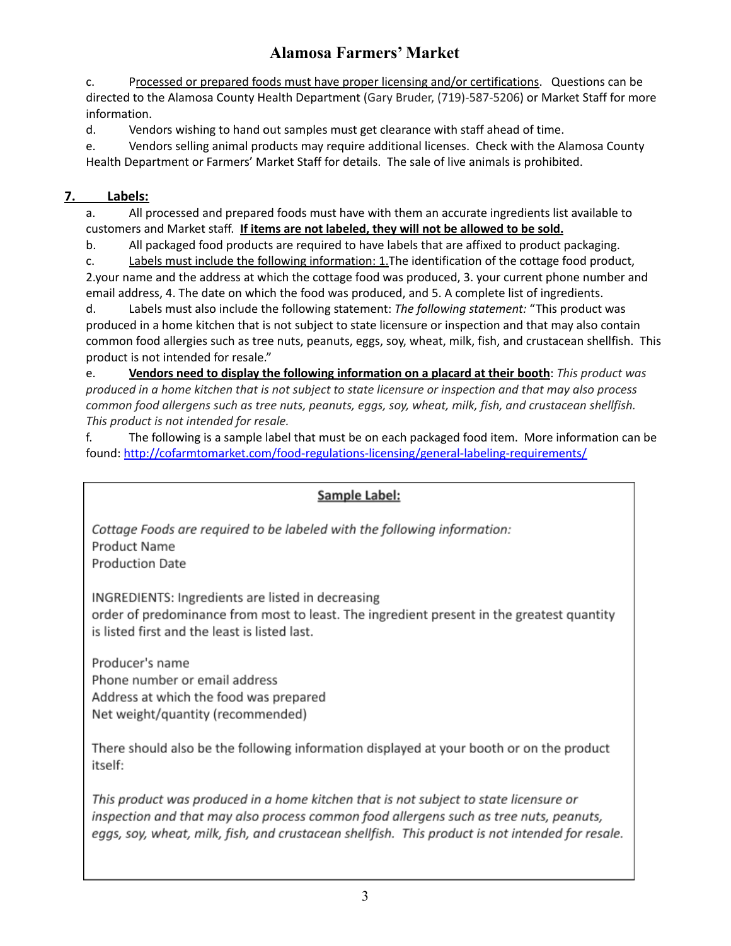# **Alamosa Farmers' Market**

c. Processed or prepared foods must have proper licensing and/or certifications. Questions can be directed to the Alamosa County Health Department (Gary Bruder, (719)-587-5206) or Market Staff for more information.

d. Vendors wishing to hand out samples must get clearance with staff ahead of time.

e. Vendors selling animal products may require additional licenses. Check with the Alamosa County Health Department or Farmers' Market Staff for details. The sale of live animals is prohibited.

### **7. Labels:**

a. All processed and prepared foods must have with them an accurate ingredients list available to customers and Market staff. **If items are not labeled, they will not be allowed to be sold.**

b. All packaged food products are required to have labels that are affixed to product packaging.

c. Labels must include the following information: 1.The identification of the cottage food product, 2.your name and the address at which the cottage food was produced, 3. your current phone number and email address, 4. The date on which the food was produced, and 5. A complete list of ingredients.

d. Labels must also include the following statement: *The following statement:* "This product was produced in a home kitchen that is not subject to state licensure or inspection and that may also contain common food allergies such as tree nuts, peanuts, eggs, soy, wheat, milk, fish, and crustacean shellfish. This product is not intended for resale."

e. **Vendors need to display the following information on a placard at their booth**: *This product was* produced in a home kitchen that is not subject to state licensure or inspection and that may also process *common food allergens such as tree nuts, peanuts, eggs, soy, wheat, milk, fish, and crustacean shellfish. This product is not intended for resale.*

f. The following is a sample label that must be on each packaged food item. More information can be found: <http://cofarmtomarket.com/food-regulations-licensing/general-labeling-requirements/>

### Sample Label:

Cottage Foods are required to be labeled with the following information: **Product Name Production Date** 

INGREDIENTS: Ingredients are listed in decreasing order of predominance from most to least. The ingredient present in the greatest quantity is listed first and the least is listed last.

Producer's name Phone number or email address Address at which the food was prepared Net weight/quantity (recommended)

There should also be the following information displayed at your booth or on the product itself:

This product was produced in a home kitchen that is not subject to state licensure or inspection and that may also process common food allergens such as tree nuts, peanuts, eggs, soy, wheat, milk, fish, and crustacean shellfish. This product is not intended for resale.